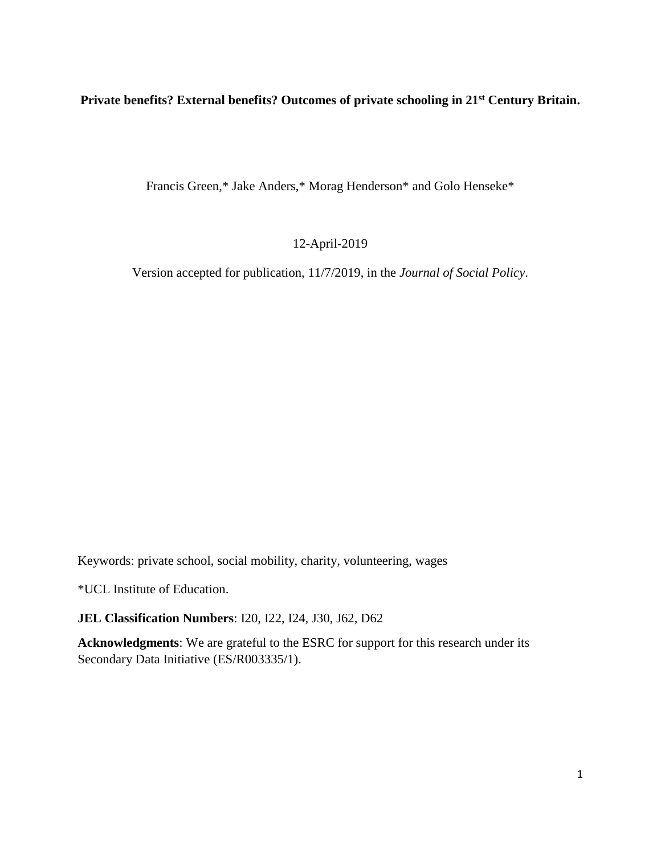# **Private benefits? External benefits? Outcomes of private schooling in 21st Century Britain.**

Francis Green,\* Jake Anders,\* Morag Henderson\* and Golo Henseke\*

12-April-2019

Version accepted for publication, 11/7/2019, in the *Journal of Social Policy*.

Keywords: private school, social mobility, charity, volunteering, wages

\*UCL Institute of Education.

**JEL Classification Numbers**: I20, I22, I24, J30, J62, D62

**Acknowledgments**: We are grateful to the ESRC for support for this research under its Secondary Data Initiative (ES/R003335/1).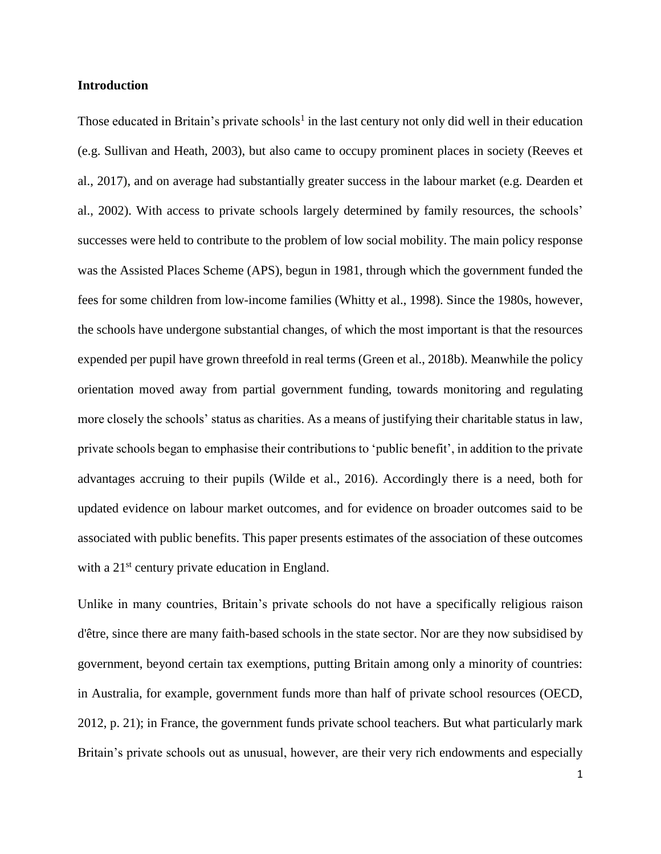### **Introduction**

Those educated in Britain's private schools<sup>1</sup> in the last century not only did well in their education (e.g. Sullivan and Heath, 2003), but also came to occupy prominent places in society (Reeves et al., 2017), and on average had substantially greater success in the labour market (e.g. Dearden et al., 2002). With access to private schools largely determined by family resources, the schools' successes were held to contribute to the problem of low social mobility. The main policy response was the Assisted Places Scheme (APS), begun in 1981, through which the government funded the fees for some children from low-income families (Whitty et al., 1998). Since the 1980s, however, the schools have undergone substantial changes, of which the most important is that the resources expended per pupil have grown threefold in real terms (Green et al., 2018b). Meanwhile the policy orientation moved away from partial government funding, towards monitoring and regulating more closely the schools' status as charities. As a means of justifying their charitable status in law, private schools began to emphasise their contributions to 'public benefit', in addition to the private advantages accruing to their pupils (Wilde et al., 2016). Accordingly there is a need, both for updated evidence on labour market outcomes, and for evidence on broader outcomes said to be associated with public benefits. This paper presents estimates of the association of these outcomes with a 21<sup>st</sup> century private education in England.

Unlike in many countries, Britain's private schools do not have a specifically religious raison d'être, since there are many faith-based schools in the state sector. Nor are they now subsidised by government, beyond certain tax exemptions, putting Britain among only a minority of countries: in Australia, for example, government funds more than half of private school resources (OECD, 2012, p. 21); in France, the government funds private school teachers. But what particularly mark Britain's private schools out as unusual, however, are their very rich endowments and especially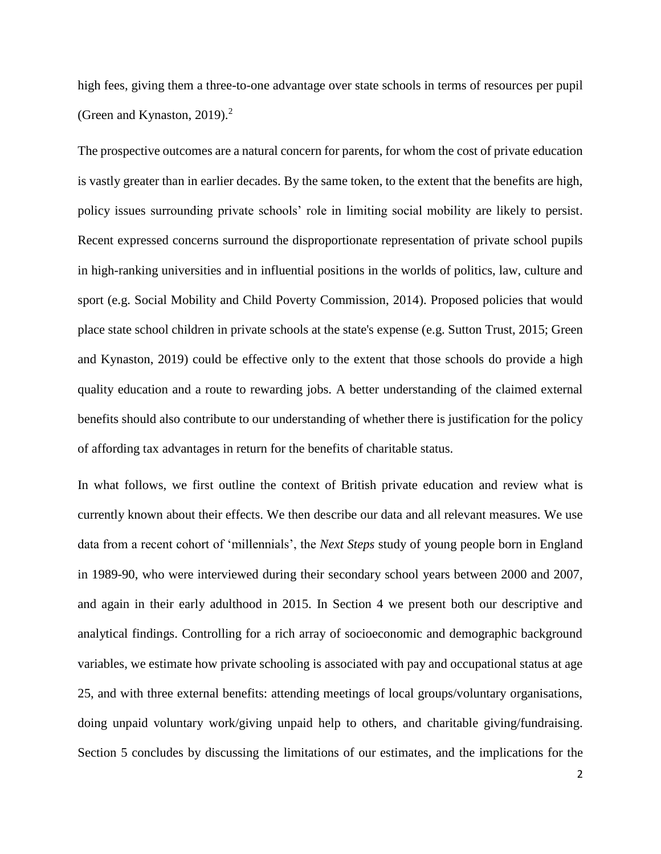high fees, giving them a three-to-one advantage over state schools in terms of resources per pupil (Green and Kynaston, 2019). $^2$ 

The prospective outcomes are a natural concern for parents, for whom the cost of private education is vastly greater than in earlier decades. By the same token, to the extent that the benefits are high, policy issues surrounding private schools' role in limiting social mobility are likely to persist. Recent expressed concerns surround the disproportionate representation of private school pupils in high-ranking universities and in influential positions in the worlds of politics, law, culture and sport (e.g. Social Mobility and Child Poverty Commission, 2014). Proposed policies that would place state school children in private schools at the state's expense (e.g. Sutton Trust, 2015; Green and Kynaston, 2019) could be effective only to the extent that those schools do provide a high quality education and a route to rewarding jobs. A better understanding of the claimed external benefits should also contribute to our understanding of whether there is justification for the policy of affording tax advantages in return for the benefits of charitable status.

In what follows, we first outline the context of British private education and review what is currently known about their effects. We then describe our data and all relevant measures. We use data from a recent cohort of 'millennials', the *Next Steps* study of young people born in England in 1989-90, who were interviewed during their secondary school years between 2000 and 2007, and again in their early adulthood in 2015. In Section 4 we present both our descriptive and analytical findings. Controlling for a rich array of socioeconomic and demographic background variables, we estimate how private schooling is associated with pay and occupational status at age 25, and with three external benefits: attending meetings of local groups/voluntary organisations, doing unpaid voluntary work/giving unpaid help to others, and charitable giving/fundraising. Section 5 concludes by discussing the limitations of our estimates, and the implications for the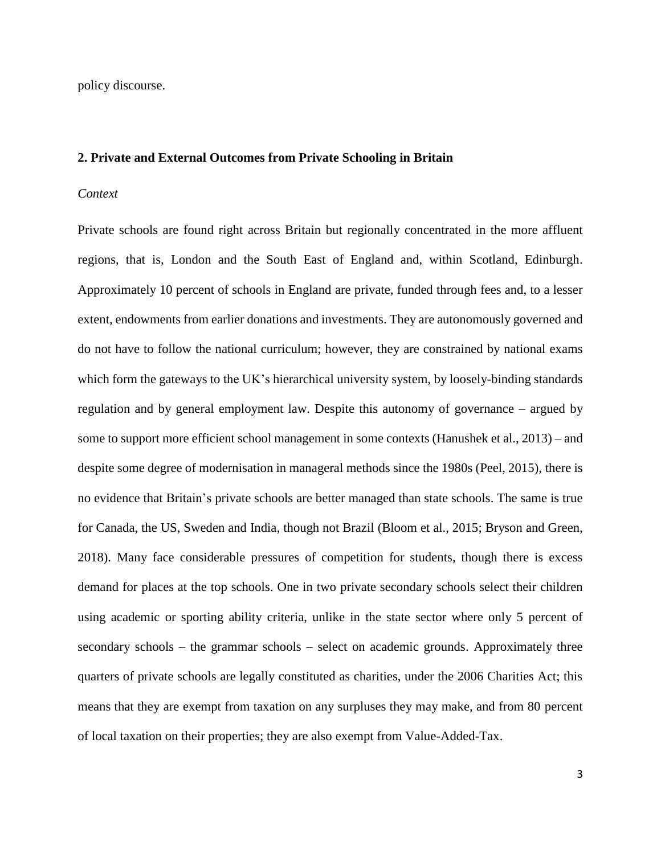policy discourse.

#### **2. Private and External Outcomes from Private Schooling in Britain**

#### *Context*

Private schools are found right across Britain but regionally concentrated in the more affluent regions, that is, London and the South East of England and, within Scotland, Edinburgh. Approximately 10 percent of schools in England are private, funded through fees and, to a lesser extent, endowments from earlier donations and investments. They are autonomously governed and do not have to follow the national curriculum; however, they are constrained by national exams which form the gateways to the UK's hierarchical university system, by loosely-binding standards regulation and by general employment law. Despite this autonomy of governance – argued by some to support more efficient school management in some contexts (Hanushek et al., 2013) – and despite some degree of modernisation in manageral methods since the 1980s (Peel, 2015), there is no evidence that Britain's private schools are better managed than state schools. The same is true for Canada, the US, Sweden and India, though not Brazil (Bloom et al., 2015; Bryson and Green, 2018). Many face considerable pressures of competition for students, though there is excess demand for places at the top schools. One in two private secondary schools select their children using academic or sporting ability criteria, unlike in the state sector where only 5 percent of secondary schools – the grammar schools – select on academic grounds. Approximately three quarters of private schools are legally constituted as charities, under the 2006 Charities Act; this means that they are exempt from taxation on any surpluses they may make, and from 80 percent of local taxation on their properties; they are also exempt from Value-Added-Tax.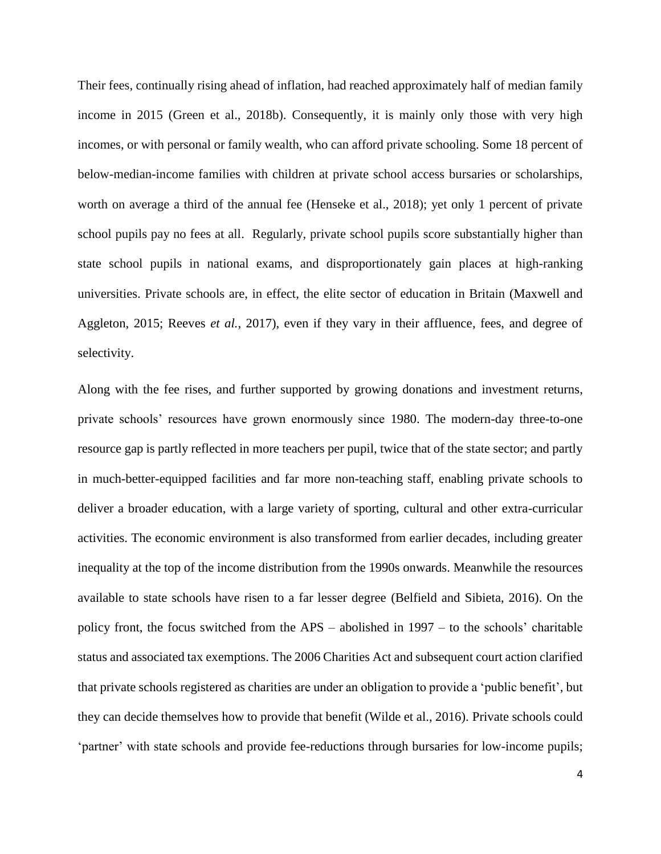Their fees, continually rising ahead of inflation, had reached approximately half of median family income in 2015 (Green et al., 2018b). Consequently, it is mainly only those with very high incomes, or with personal or family wealth, who can afford private schooling. Some 18 percent of below-median-income families with children at private school access bursaries or scholarships, worth on average a third of the annual fee (Henseke et al., 2018); yet only 1 percent of private school pupils pay no fees at all. Regularly, private school pupils score substantially higher than state school pupils in national exams, and disproportionately gain places at high-ranking universities. Private schools are, in effect, the elite sector of education in Britain (Maxwell and Aggleton, 2015; Reeves *et al.*, 2017), even if they vary in their affluence, fees, and degree of selectivity.

Along with the fee rises, and further supported by growing donations and investment returns, private schools' resources have grown enormously since 1980. The modern-day three-to-one resource gap is partly reflected in more teachers per pupil, twice that of the state sector; and partly in much-better-equipped facilities and far more non-teaching staff, enabling private schools to deliver a broader education, with a large variety of sporting, cultural and other extra-curricular activities. The economic environment is also transformed from earlier decades, including greater inequality at the top of the income distribution from the 1990s onwards. Meanwhile the resources available to state schools have risen to a far lesser degree (Belfield and Sibieta, 2016). On the policy front, the focus switched from the APS – abolished in 1997 – to the schools' charitable status and associated tax exemptions. The 2006 Charities Act and subsequent court action clarified that private schools registered as charities are under an obligation to provide a 'public benefit', but they can decide themselves how to provide that benefit (Wilde et al., 2016). Private schools could 'partner' with state schools and provide fee-reductions through bursaries for low-income pupils;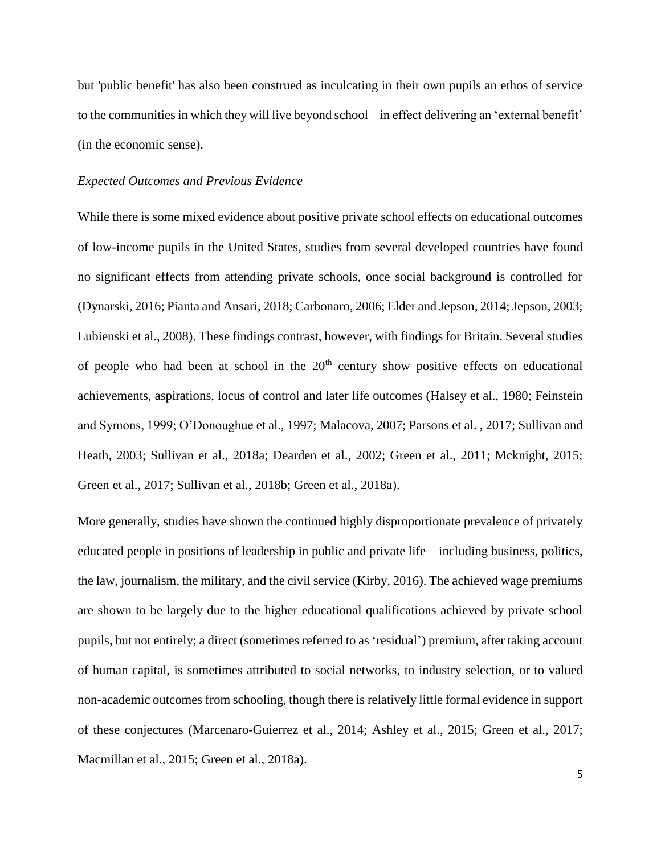but 'public benefit' has also been construed as inculcating in their own pupils an ethos of service to the communities in which they will live beyond school – in effect delivering an 'external benefit' (in the economic sense).

#### *Expected Outcomes and Previous Evidence*

While there is some mixed evidence about positive private school effects on educational outcomes of low-income pupils in the United States, studies from several developed countries have found no significant effects from attending private schools, once social background is controlled for (Dynarski, 2016; Pianta and Ansari, 2018; Carbonaro, 2006; Elder and Jepson, 2014; Jepson, 2003; Lubienski et al., 2008). These findings contrast, however, with findings for Britain. Several studies of people who had been at school in the  $20<sup>th</sup>$  century show positive effects on educational achievements, aspirations, locus of control and later life outcomes (Halsey et al., 1980; Feinstein and Symons, 1999; O'Donoughue et al., 1997; Malacova, 2007; Parsons et al. , 2017; Sullivan and Heath, 2003; Sullivan et al., 2018a; Dearden et al., 2002; Green et al., 2011; Mcknight, 2015; Green et al., 2017; Sullivan et al., 2018b; Green et al., 2018a).

More generally, studies have shown the continued highly disproportionate prevalence of privately educated people in positions of leadership in public and private life – including business, politics, the law, journalism, the military, and the civil service (Kirby, 2016). The achieved wage premiums are shown to be largely due to the higher educational qualifications achieved by private school pupils, but not entirely; a direct (sometimes referred to as 'residual') premium, after taking account of human capital, is sometimes attributed to social networks, to industry selection, or to valued non-academic outcomes from schooling, though there is relatively little formal evidence in support of these conjectures (Marcenaro-Guierrez et al., 2014; Ashley et al., 2015; Green et al., 2017; Macmillan et al., 2015; Green et al., 2018a).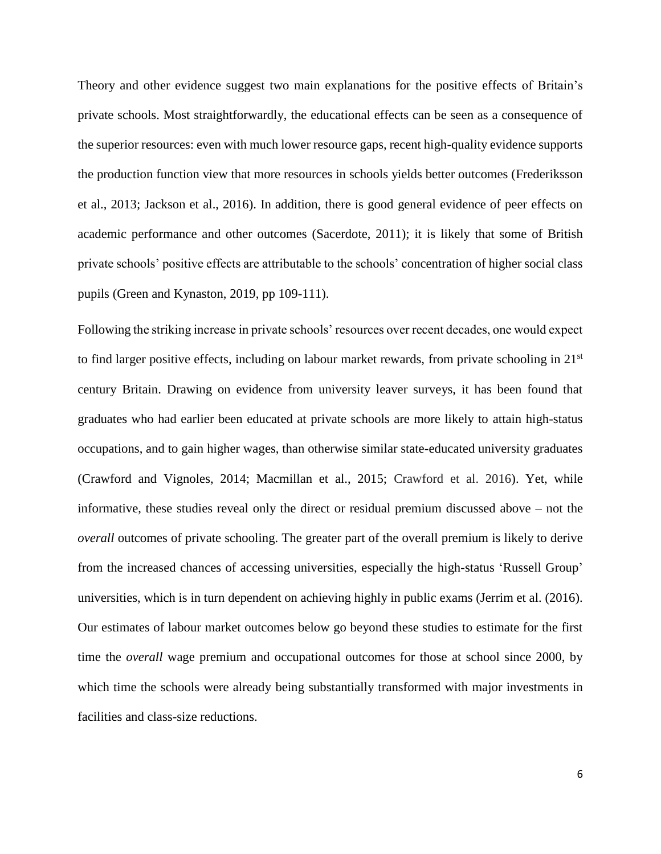Theory and other evidence suggest two main explanations for the positive effects of Britain's private schools. Most straightforwardly, the educational effects can be seen as a consequence of the superior resources: even with much lower resource gaps, recent high-quality evidence supports the production function view that more resources in schools yields better outcomes (Frederiksson et al., 2013; Jackson et al., 2016). In addition, there is good general evidence of peer effects on academic performance and other outcomes (Sacerdote, 2011); it is likely that some of British private schools' positive effects are attributable to the schools' concentration of higher social class pupils (Green and Kynaston, 2019, pp 109-111).

Following the striking increase in private schools' resources over recent decades, one would expect to find larger positive effects, including on labour market rewards, from private schooling in 21<sup>st</sup> century Britain. Drawing on evidence from university leaver surveys, it has been found that graduates who had earlier been educated at private schools are more likely to attain high-status occupations, and to gain higher wages, than otherwise similar state-educated university graduates (Crawford and Vignoles, 2014; Macmillan et al., 2015; Crawford et al. 2016). Yet, while informative, these studies reveal only the direct or residual premium discussed above – not the *overall* outcomes of private schooling. The greater part of the overall premium is likely to derive from the increased chances of accessing universities, especially the high-status 'Russell Group' universities, which is in turn dependent on achieving highly in public exams (Jerrim et al. (2016). Our estimates of labour market outcomes below go beyond these studies to estimate for the first time the *overall* wage premium and occupational outcomes for those at school since 2000, by which time the schools were already being substantially transformed with major investments in facilities and class-size reductions.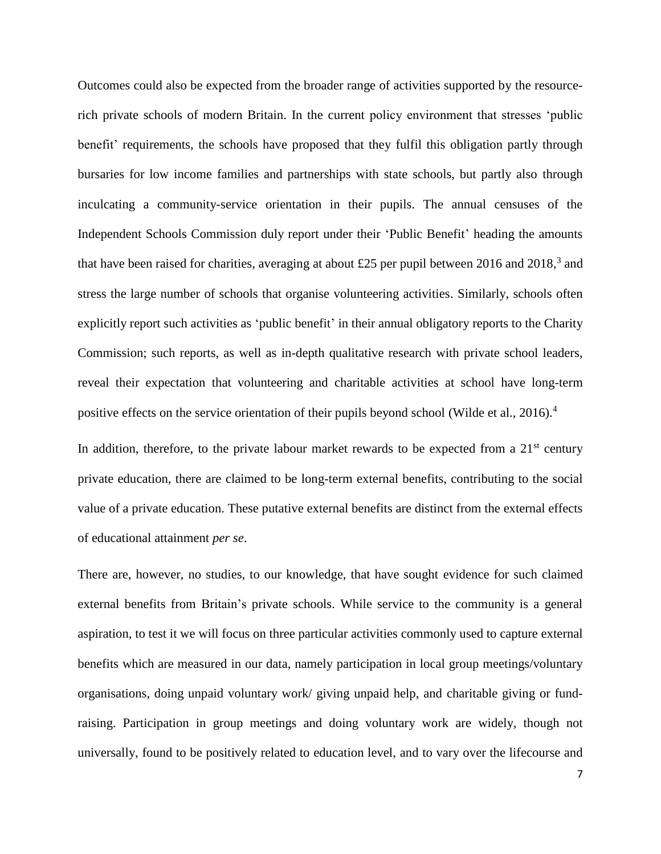Outcomes could also be expected from the broader range of activities supported by the resourcerich private schools of modern Britain. In the current policy environment that stresses 'public benefit' requirements, the schools have proposed that they fulfil this obligation partly through bursaries for low income families and partnerships with state schools, but partly also through inculcating a community-service orientation in their pupils. The annual censuses of the Independent Schools Commission duly report under their 'Public Benefit' heading the amounts that have been raised for charities, averaging at about £25 per pupil between 2016 and 2018,<sup>3</sup> and stress the large number of schools that organise volunteering activities. Similarly, schools often explicitly report such activities as 'public benefit' in their annual obligatory reports to the Charity Commission; such reports, as well as in-depth qualitative research with private school leaders, reveal their expectation that volunteering and charitable activities at school have long-term positive effects on the service orientation of their pupils beyond school (Wilde et al., 2016).<sup>4</sup>

In addition, therefore, to the private labour market rewards to be expected from a  $21<sup>st</sup>$  century private education, there are claimed to be long-term external benefits, contributing to the social value of a private education. These putative external benefits are distinct from the external effects of educational attainment *per se*.

There are, however, no studies, to our knowledge, that have sought evidence for such claimed external benefits from Britain's private schools. While service to the community is a general aspiration, to test it we will focus on three particular activities commonly used to capture external benefits which are measured in our data, namely participation in local group meetings/voluntary organisations, doing unpaid voluntary work/ giving unpaid help, and charitable giving or fundraising. Participation in group meetings and doing voluntary work are widely, though not universally, found to be positively related to education level, and to vary over the lifecourse and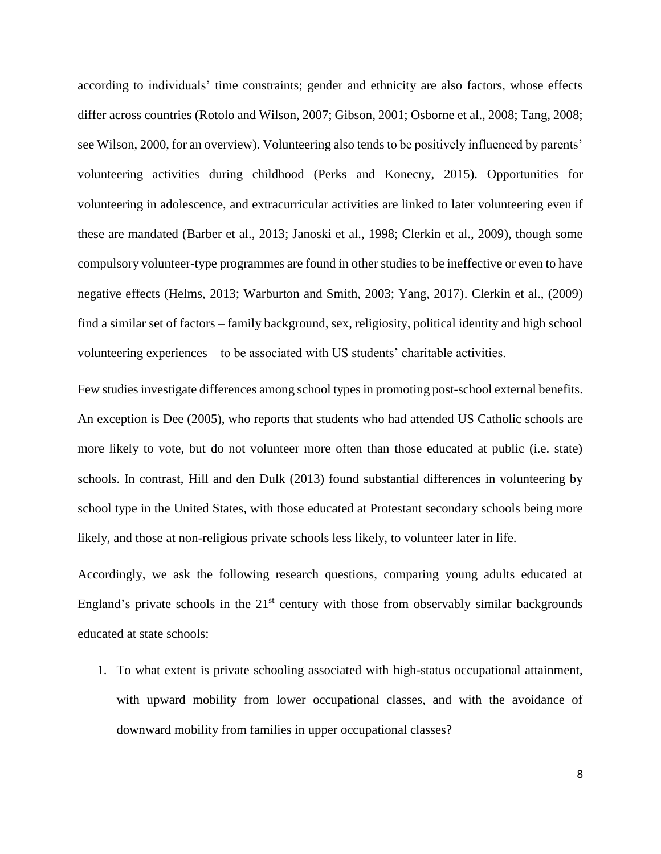according to individuals' time constraints; gender and ethnicity are also factors, whose effects differ across countries (Rotolo and Wilson, 2007; Gibson, 2001; Osborne et al., 2008; Tang, 2008; see Wilson, 2000, for an overview). Volunteering also tends to be positively influenced by parents' volunteering activities during childhood (Perks and Konecny, 2015). Opportunities for volunteering in adolescence, and extracurricular activities are linked to later volunteering even if these are mandated (Barber et al., 2013; Janoski et al., 1998; Clerkin et al., 2009), though some compulsory volunteer-type programmes are found in other studies to be ineffective or even to have negative effects (Helms, 2013; Warburton and Smith, 2003; Yang, 2017). Clerkin et al., (2009) find a similar set of factors – family background, sex, religiosity, political identity and high school volunteering experiences – to be associated with US students' charitable activities.

Few studies investigate differences among school typesin promoting post-school external benefits. An exception is Dee (2005), who reports that students who had attended US Catholic schools are more likely to vote, but do not volunteer more often than those educated at public (i.e. state) schools. In contrast, Hill and den Dulk (2013) found substantial differences in volunteering by school type in the United States, with those educated at Protestant secondary schools being more likely, and those at non-religious private schools less likely, to volunteer later in life.

Accordingly, we ask the following research questions, comparing young adults educated at England's private schools in the  $21<sup>st</sup>$  century with those from observably similar backgrounds educated at state schools:

1. To what extent is private schooling associated with high-status occupational attainment, with upward mobility from lower occupational classes, and with the avoidance of downward mobility from families in upper occupational classes?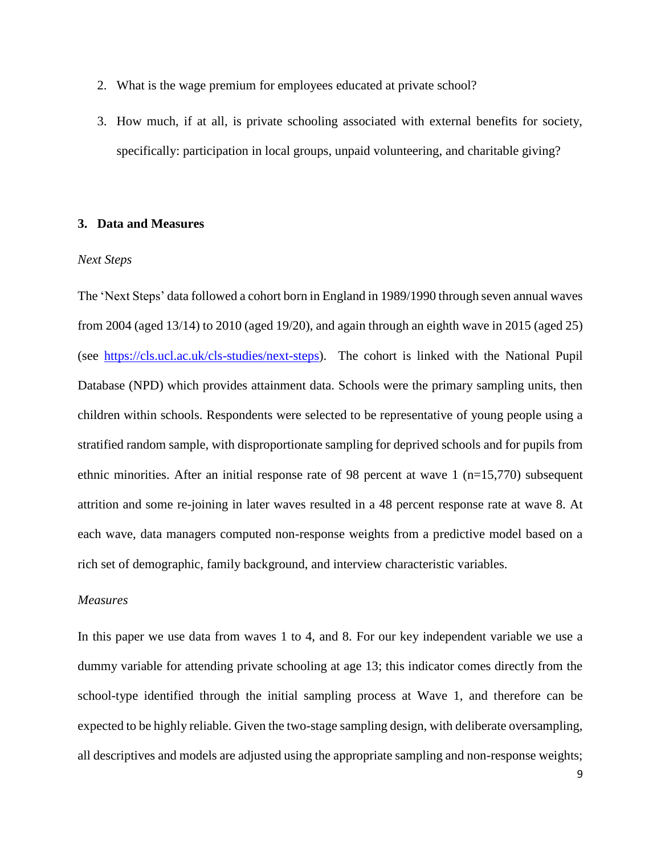- 2. What is the wage premium for employees educated at private school?
- 3. How much, if at all, is private schooling associated with external benefits for society, specifically: participation in local groups, unpaid volunteering, and charitable giving?

### **3. Data and Measures**

### *Next Steps*

The 'Next Steps' data followed a cohort born in England in 1989/1990 through seven annual waves from 2004 (aged 13/14) to 2010 (aged 19/20), and again through an eighth wave in 2015 (aged 25) (see [https://cls.ucl.ac.uk/cls-studies/next-steps\)](https://cls.ucl.ac.uk/cls-studies/next-steps). The cohort is linked with the National Pupil Database (NPD) which provides attainment data. Schools were the primary sampling units, then children within schools. Respondents were selected to be representative of young people using a stratified random sample, with disproportionate sampling for deprived schools and for pupils from ethnic minorities. After an initial response rate of 98 percent at wave  $1$  (n=15,770) subsequent attrition and some re-joining in later waves resulted in a 48 percent response rate at wave 8. At each wave, data managers computed non-response weights from a predictive model based on a rich set of demographic, family background, and interview characteristic variables.

#### *Measures*

In this paper we use data from waves 1 to 4, and 8. For our key independent variable we use a dummy variable for attending private schooling at age 13; this indicator comes directly from the school-type identified through the initial sampling process at Wave 1, and therefore can be expected to be highly reliable. Given the two-stage sampling design, with deliberate oversampling, all descriptives and models are adjusted using the appropriate sampling and non-response weights;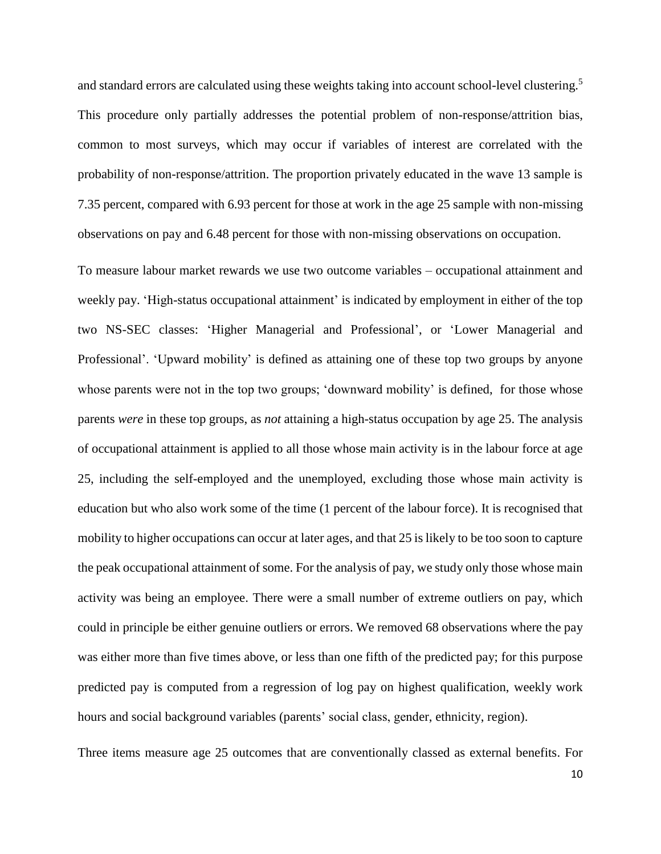and standard errors are calculated using these weights taking into account school-level clustering.<sup>5</sup> This procedure only partially addresses the potential problem of non-response/attrition bias, common to most surveys, which may occur if variables of interest are correlated with the probability of non-response/attrition. The proportion privately educated in the wave 13 sample is 7.35 percent, compared with 6.93 percent for those at work in the age 25 sample with non-missing observations on pay and 6.48 percent for those with non-missing observations on occupation.

To measure labour market rewards we use two outcome variables – occupational attainment and weekly pay. 'High-status occupational attainment' is indicated by employment in either of the top two NS-SEC classes: 'Higher Managerial and Professional', or 'Lower Managerial and Professional'. 'Upward mobility' is defined as attaining one of these top two groups by anyone whose parents were not in the top two groups; 'downward mobility' is defined, for those whose parents *were* in these top groups, as *not* attaining a high-status occupation by age 25. The analysis of occupational attainment is applied to all those whose main activity is in the labour force at age 25, including the self-employed and the unemployed, excluding those whose main activity is education but who also work some of the time (1 percent of the labour force). It is recognised that mobility to higher occupations can occur at later ages, and that 25 is likely to be too soon to capture the peak occupational attainment of some. For the analysis of pay, we study only those whose main activity was being an employee. There were a small number of extreme outliers on pay, which could in principle be either genuine outliers or errors. We removed 68 observations where the pay was either more than five times above, or less than one fifth of the predicted pay; for this purpose predicted pay is computed from a regression of log pay on highest qualification, weekly work hours and social background variables (parents' social class, gender, ethnicity, region).

Three items measure age 25 outcomes that are conventionally classed as external benefits. For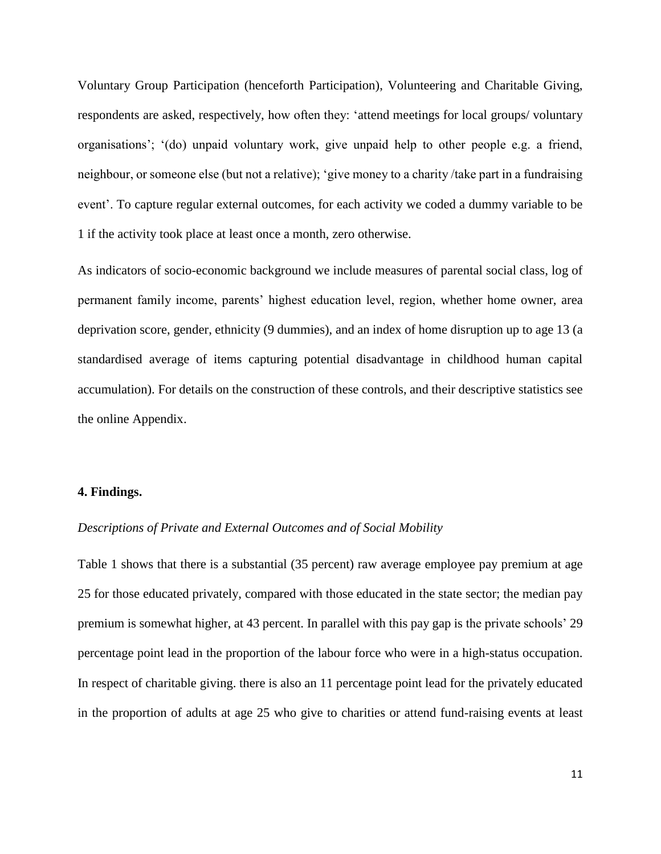Voluntary Group Participation (henceforth Participation), Volunteering and Charitable Giving, respondents are asked, respectively, how often they: 'attend meetings for local groups/ voluntary organisations'; '(do) unpaid voluntary work, give unpaid help to other people e.g. a friend, neighbour, or someone else (but not a relative); 'give money to a charity /take part in a fundraising event'. To capture regular external outcomes, for each activity we coded a dummy variable to be 1 if the activity took place at least once a month, zero otherwise.

As indicators of socio-economic background we include measures of parental social class, log of permanent family income, parents' highest education level, region, whether home owner, area deprivation score, gender, ethnicity (9 dummies), and an index of home disruption up to age 13 (a standardised average of items capturing potential disadvantage in childhood human capital accumulation). For details on the construction of these controls, and their descriptive statistics see the online Appendix.

## **4. Findings.**

## *Descriptions of Private and External Outcomes and of Social Mobility*

Table 1 shows that there is a substantial (35 percent) raw average employee pay premium at age 25 for those educated privately, compared with those educated in the state sector; the median pay premium is somewhat higher, at 43 percent. In parallel with this pay gap is the private schools' 29 percentage point lead in the proportion of the labour force who were in a high-status occupation. In respect of charitable giving. there is also an 11 percentage point lead for the privately educated in the proportion of adults at age 25 who give to charities or attend fund-raising events at least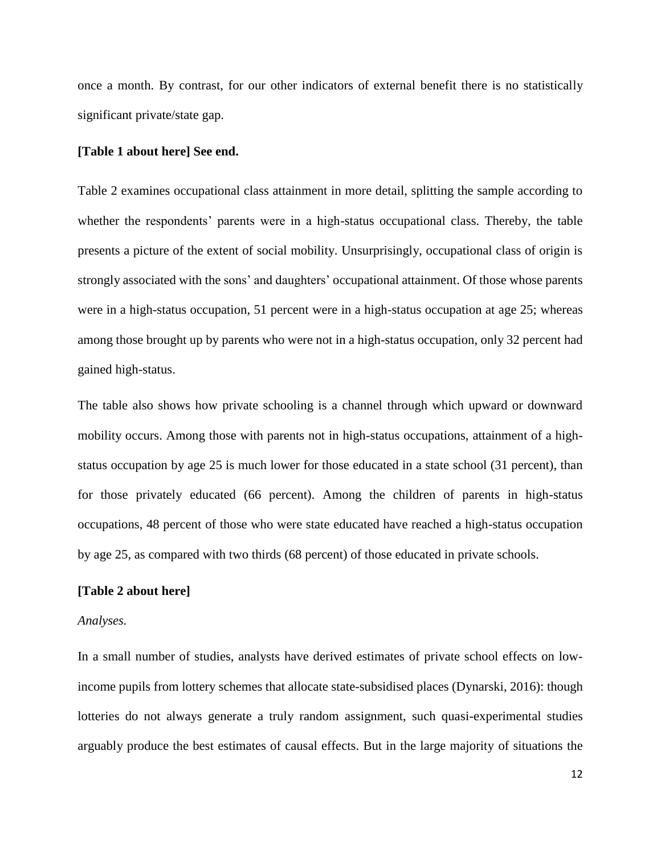once a month. By contrast, for our other indicators of external benefit there is no statistically significant private/state gap.

#### **[Table 1 about here] See end.**

Table 2 examines occupational class attainment in more detail, splitting the sample according to whether the respondents' parents were in a high-status occupational class. Thereby, the table presents a picture of the extent of social mobility. Unsurprisingly, occupational class of origin is strongly associated with the sons' and daughters' occupational attainment. Of those whose parents were in a high-status occupation, 51 percent were in a high-status occupation at age 25; whereas among those brought up by parents who were not in a high-status occupation, only 32 percent had gained high-status.

The table also shows how private schooling is a channel through which upward or downward mobility occurs. Among those with parents not in high-status occupations, attainment of a highstatus occupation by age 25 is much lower for those educated in a state school (31 percent), than for those privately educated (66 percent). Among the children of parents in high-status occupations, 48 percent of those who were state educated have reached a high-status occupation by age 25, as compared with two thirds (68 percent) of those educated in private schools.

### **[Table 2 about here]**

#### *Analyses.*

In a small number of studies, analysts have derived estimates of private school effects on lowincome pupils from lottery schemes that allocate state-subsidised places (Dynarski, 2016): though lotteries do not always generate a truly random assignment, such quasi-experimental studies arguably produce the best estimates of causal effects. But in the large majority of situations the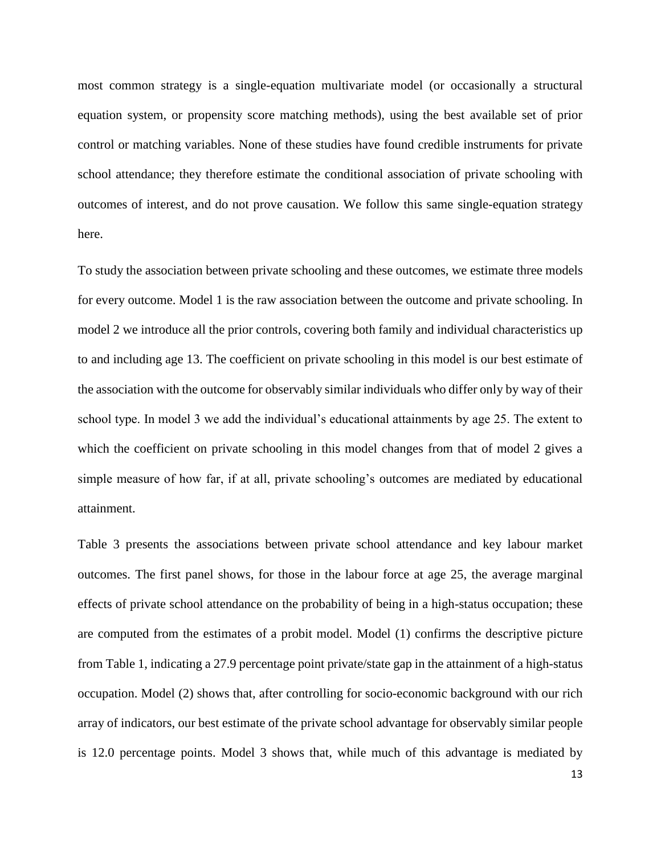most common strategy is a single-equation multivariate model (or occasionally a structural equation system, or propensity score matching methods), using the best available set of prior control or matching variables. None of these studies have found credible instruments for private school attendance; they therefore estimate the conditional association of private schooling with outcomes of interest, and do not prove causation. We follow this same single-equation strategy here.

To study the association between private schooling and these outcomes, we estimate three models for every outcome. Model 1 is the raw association between the outcome and private schooling. In model 2 we introduce all the prior controls, covering both family and individual characteristics up to and including age 13. The coefficient on private schooling in this model is our best estimate of the association with the outcome for observably similar individuals who differ only by way of their school type. In model 3 we add the individual's educational attainments by age 25. The extent to which the coefficient on private schooling in this model changes from that of model 2 gives a simple measure of how far, if at all, private schooling's outcomes are mediated by educational attainment.

Table 3 presents the associations between private school attendance and key labour market outcomes. The first panel shows, for those in the labour force at age 25, the average marginal effects of private school attendance on the probability of being in a high-status occupation; these are computed from the estimates of a probit model. Model (1) confirms the descriptive picture from Table 1, indicating a 27.9 percentage point private/state gap in the attainment of a high-status occupation. Model (2) shows that, after controlling for socio-economic background with our rich array of indicators, our best estimate of the private school advantage for observably similar people is 12.0 percentage points. Model 3 shows that, while much of this advantage is mediated by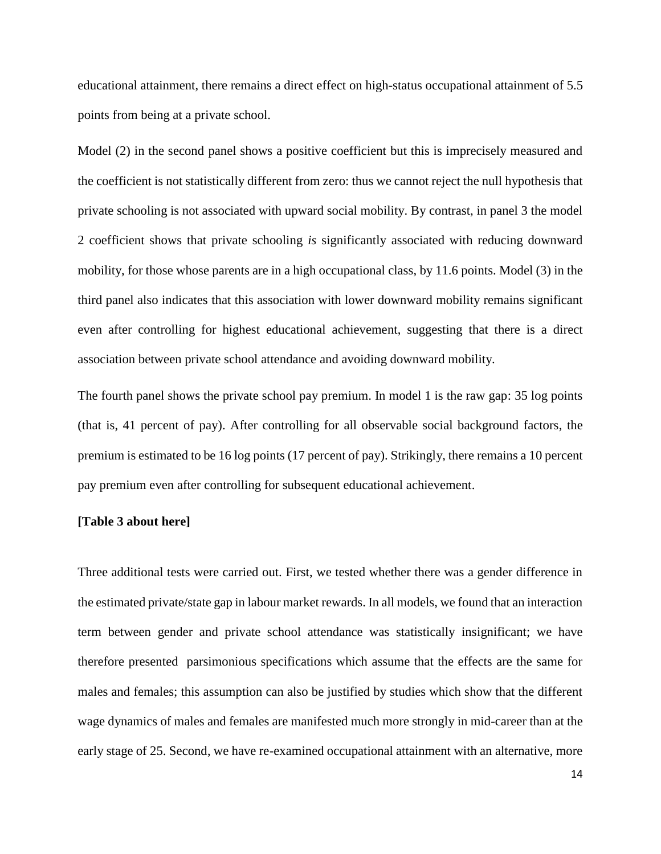educational attainment, there remains a direct effect on high-status occupational attainment of 5.5 points from being at a private school.

Model (2) in the second panel shows a positive coefficient but this is imprecisely measured and the coefficient is not statistically different from zero: thus we cannot reject the null hypothesis that private schooling is not associated with upward social mobility. By contrast, in panel 3 the model 2 coefficient shows that private schooling *is* significantly associated with reducing downward mobility, for those whose parents are in a high occupational class, by 11.6 points. Model (3) in the third panel also indicates that this association with lower downward mobility remains significant even after controlling for highest educational achievement, suggesting that there is a direct association between private school attendance and avoiding downward mobility.

The fourth panel shows the private school pay premium. In model 1 is the raw gap: 35 log points (that is, 41 percent of pay). After controlling for all observable social background factors, the premium is estimated to be 16 log points (17 percent of pay). Strikingly, there remains a 10 percent pay premium even after controlling for subsequent educational achievement.

### **[Table 3 about here]**

Three additional tests were carried out. First, we tested whether there was a gender difference in the estimated private/state gap in labour market rewards. In all models, we found that an interaction term between gender and private school attendance was statistically insignificant; we have therefore presented parsimonious specifications which assume that the effects are the same for males and females; this assumption can also be justified by studies which show that the different wage dynamics of males and females are manifested much more strongly in mid-career than at the early stage of 25. Second, we have re-examined occupational attainment with an alternative, more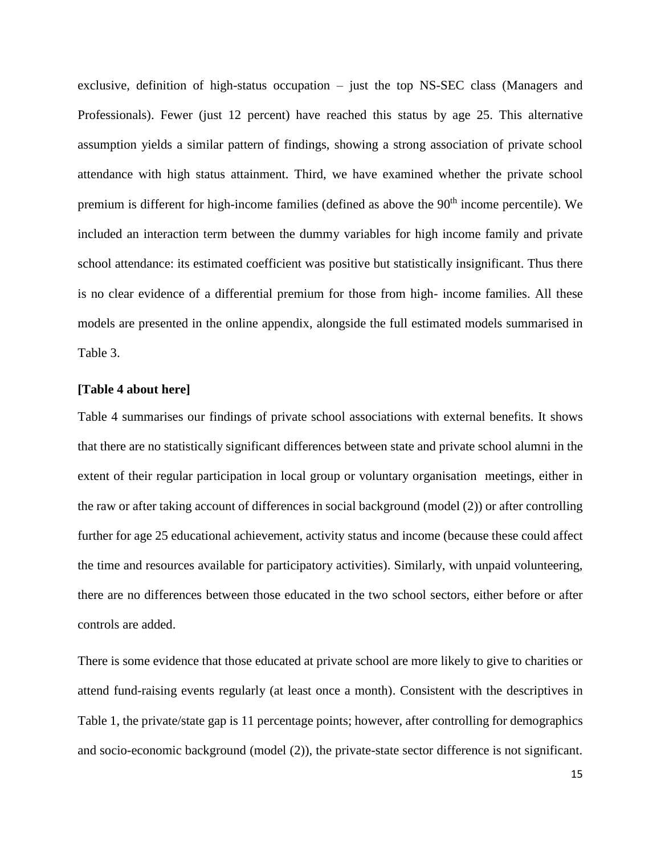exclusive, definition of high-status occupation – just the top NS-SEC class (Managers and Professionals). Fewer (just 12 percent) have reached this status by age 25. This alternative assumption yields a similar pattern of findings, showing a strong association of private school attendance with high status attainment. Third, we have examined whether the private school premium is different for high-income families (defined as above the 90<sup>th</sup> income percentile). We included an interaction term between the dummy variables for high income family and private school attendance: its estimated coefficient was positive but statistically insignificant. Thus there is no clear evidence of a differential premium for those from high- income families. All these models are presented in the online appendix, alongside the full estimated models summarised in Table 3.

# **[Table 4 about here]**

Table 4 summarises our findings of private school associations with external benefits. It shows that there are no statistically significant differences between state and private school alumni in the extent of their regular participation in local group or voluntary organisation meetings, either in the raw or after taking account of differences in social background (model (2)) or after controlling further for age 25 educational achievement, activity status and income (because these could affect the time and resources available for participatory activities). Similarly, with unpaid volunteering, there are no differences between those educated in the two school sectors, either before or after controls are added.

There is some evidence that those educated at private school are more likely to give to charities or attend fund-raising events regularly (at least once a month). Consistent with the descriptives in Table 1, the private/state gap is 11 percentage points; however, after controlling for demographics and socio-economic background (model (2)), the private-state sector difference is not significant.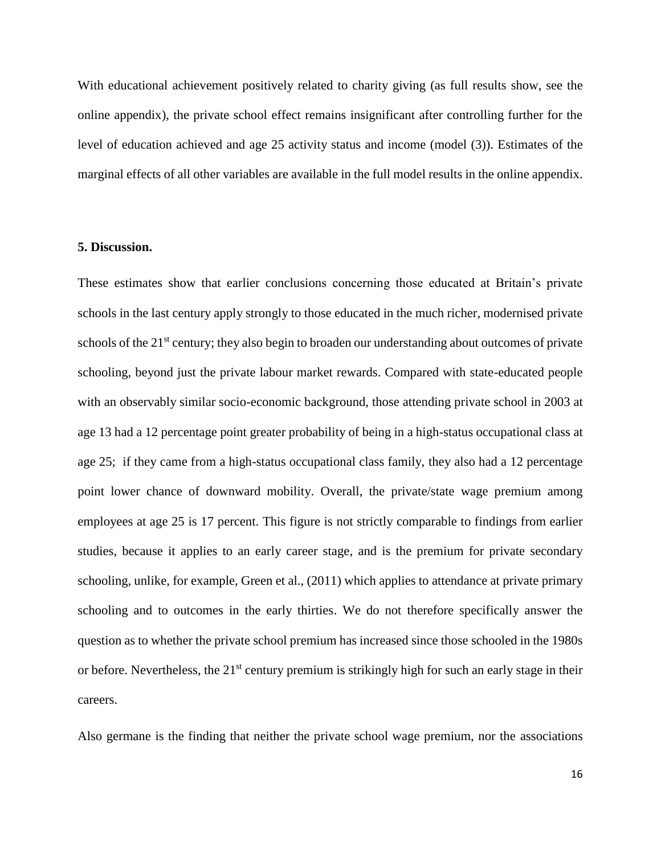With educational achievement positively related to charity giving (as full results show, see the online appendix), the private school effect remains insignificant after controlling further for the level of education achieved and age 25 activity status and income (model (3)). Estimates of the marginal effects of all other variables are available in the full model results in the online appendix.

#### **5. Discussion.**

These estimates show that earlier conclusions concerning those educated at Britain's private schools in the last century apply strongly to those educated in the much richer, modernised private schools of the 21<sup>st</sup> century; they also begin to broaden our understanding about outcomes of private schooling, beyond just the private labour market rewards. Compared with state-educated people with an observably similar socio-economic background, those attending private school in 2003 at age 13 had a 12 percentage point greater probability of being in a high-status occupational class at age 25; if they came from a high-status occupational class family, they also had a 12 percentage point lower chance of downward mobility. Overall, the private/state wage premium among employees at age 25 is 17 percent. This figure is not strictly comparable to findings from earlier studies, because it applies to an early career stage, and is the premium for private secondary schooling, unlike, for example, Green et al., (2011) which applies to attendance at private primary schooling and to outcomes in the early thirties. We do not therefore specifically answer the question as to whether the private school premium has increased since those schooled in the 1980s or before. Nevertheless, the 21<sup>st</sup> century premium is strikingly high for such an early stage in their careers.

Also germane is the finding that neither the private school wage premium, nor the associations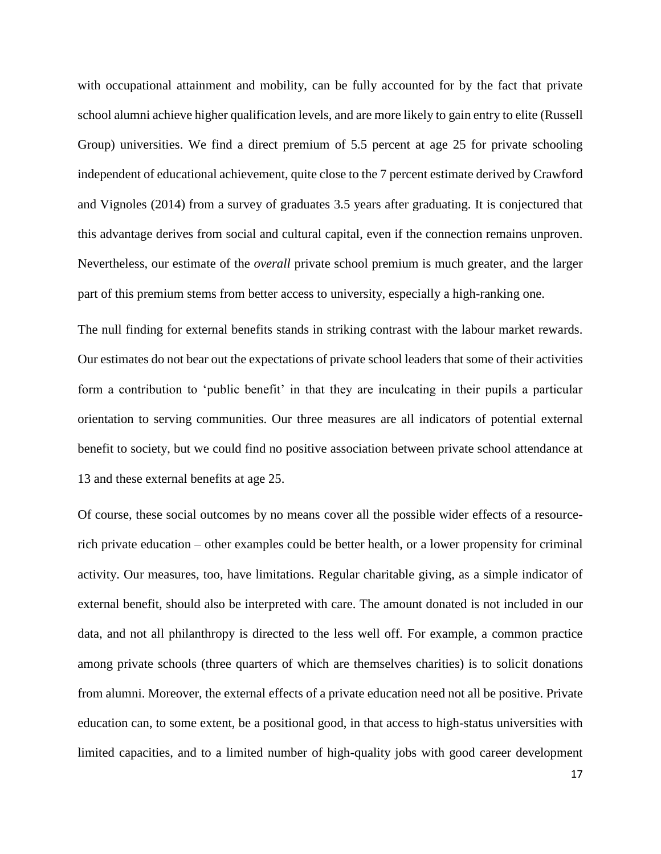with occupational attainment and mobility, can be fully accounted for by the fact that private school alumni achieve higher qualification levels, and are more likely to gain entry to elite (Russell Group) universities. We find a direct premium of 5.5 percent at age 25 for private schooling independent of educational achievement, quite close to the 7 percent estimate derived by Crawford and Vignoles (2014) from a survey of graduates 3.5 years after graduating. It is conjectured that this advantage derives from social and cultural capital, even if the connection remains unproven. Nevertheless, our estimate of the *overall* private school premium is much greater, and the larger part of this premium stems from better access to university, especially a high-ranking one.

The null finding for external benefits stands in striking contrast with the labour market rewards. Our estimates do not bear out the expectations of private school leaders that some of their activities form a contribution to 'public benefit' in that they are inculcating in their pupils a particular orientation to serving communities. Our three measures are all indicators of potential external benefit to society, but we could find no positive association between private school attendance at 13 and these external benefits at age 25.

Of course, these social outcomes by no means cover all the possible wider effects of a resourcerich private education – other examples could be better health, or a lower propensity for criminal activity. Our measures, too, have limitations. Regular charitable giving, as a simple indicator of external benefit, should also be interpreted with care. The amount donated is not included in our data, and not all philanthropy is directed to the less well off. For example, a common practice among private schools (three quarters of which are themselves charities) is to solicit donations from alumni. Moreover, the external effects of a private education need not all be positive. Private education can, to some extent, be a positional good, in that access to high-status universities with limited capacities, and to a limited number of high-quality jobs with good career development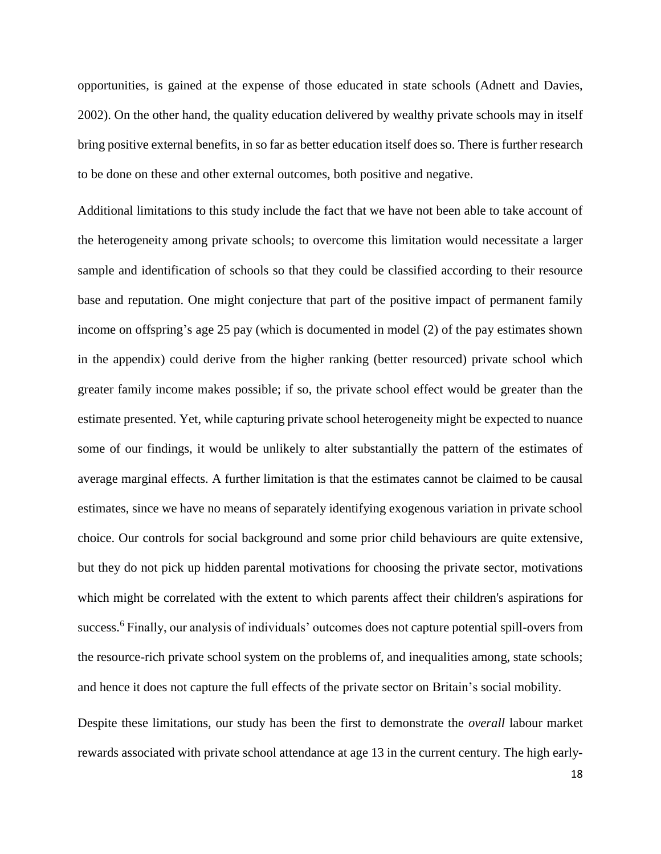opportunities, is gained at the expense of those educated in state schools (Adnett and Davies, 2002). On the other hand, the quality education delivered by wealthy private schools may in itself bring positive external benefits, in so far as better education itself does so. There is further research to be done on these and other external outcomes, both positive and negative.

Additional limitations to this study include the fact that we have not been able to take account of the heterogeneity among private schools; to overcome this limitation would necessitate a larger sample and identification of schools so that they could be classified according to their resource base and reputation. One might conjecture that part of the positive impact of permanent family income on offspring's age 25 pay (which is documented in model (2) of the pay estimates shown in the appendix) could derive from the higher ranking (better resourced) private school which greater family income makes possible; if so, the private school effect would be greater than the estimate presented. Yet, while capturing private school heterogeneity might be expected to nuance some of our findings, it would be unlikely to alter substantially the pattern of the estimates of average marginal effects. A further limitation is that the estimates cannot be claimed to be causal estimates, since we have no means of separately identifying exogenous variation in private school choice. Our controls for social background and some prior child behaviours are quite extensive, but they do not pick up hidden parental motivations for choosing the private sector, motivations which might be correlated with the extent to which parents affect their children's aspirations for success.<sup>6</sup> Finally, our analysis of individuals' outcomes does not capture potential spill-overs from the resource-rich private school system on the problems of, and inequalities among, state schools; and hence it does not capture the full effects of the private sector on Britain's social mobility.

Despite these limitations, our study has been the first to demonstrate the *overall* labour market rewards associated with private school attendance at age 13 in the current century. The high early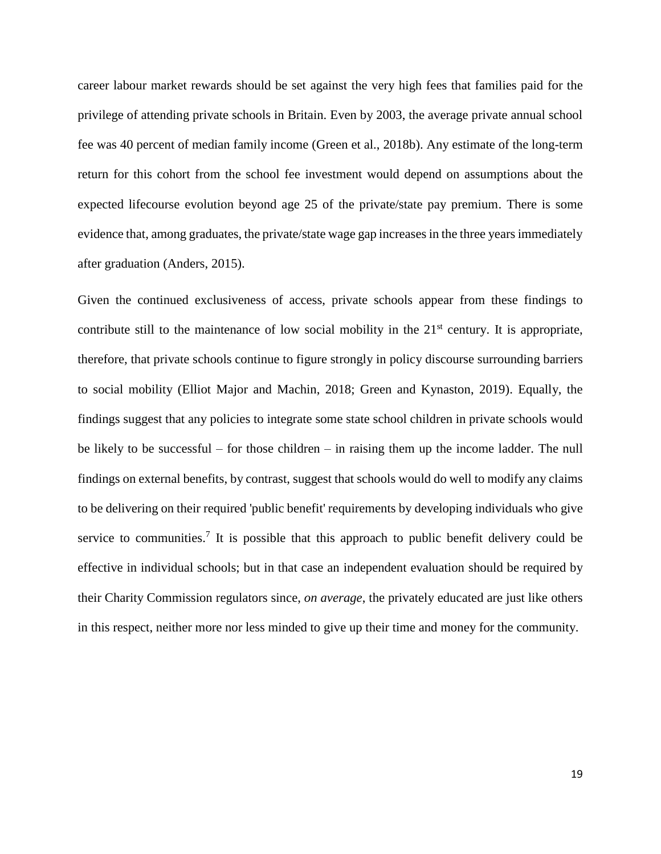career labour market rewards should be set against the very high fees that families paid for the privilege of attending private schools in Britain. Even by 2003, the average private annual school fee was 40 percent of median family income (Green et al., 2018b). Any estimate of the long-term return for this cohort from the school fee investment would depend on assumptions about the expected lifecourse evolution beyond age 25 of the private/state pay premium. There is some evidence that, among graduates, the private/state wage gap increases in the three years immediately after graduation (Anders, 2015).

Given the continued exclusiveness of access, private schools appear from these findings to contribute still to the maintenance of low social mobility in the  $21<sup>st</sup>$  century. It is appropriate, therefore, that private schools continue to figure strongly in policy discourse surrounding barriers to social mobility (Elliot Major and Machin, 2018; Green and Kynaston, 2019). Equally, the findings suggest that any policies to integrate some state school children in private schools would be likely to be successful – for those children – in raising them up the income ladder. The null findings on external benefits, by contrast, suggest that schools would do well to modify any claims to be delivering on their required 'public benefit' requirements by developing individuals who give service to communities.<sup>7</sup> It is possible that this approach to public benefit delivery could be effective in individual schools; but in that case an independent evaluation should be required by their Charity Commission regulators since, *on average*, the privately educated are just like others in this respect, neither more nor less minded to give up their time and money for the community.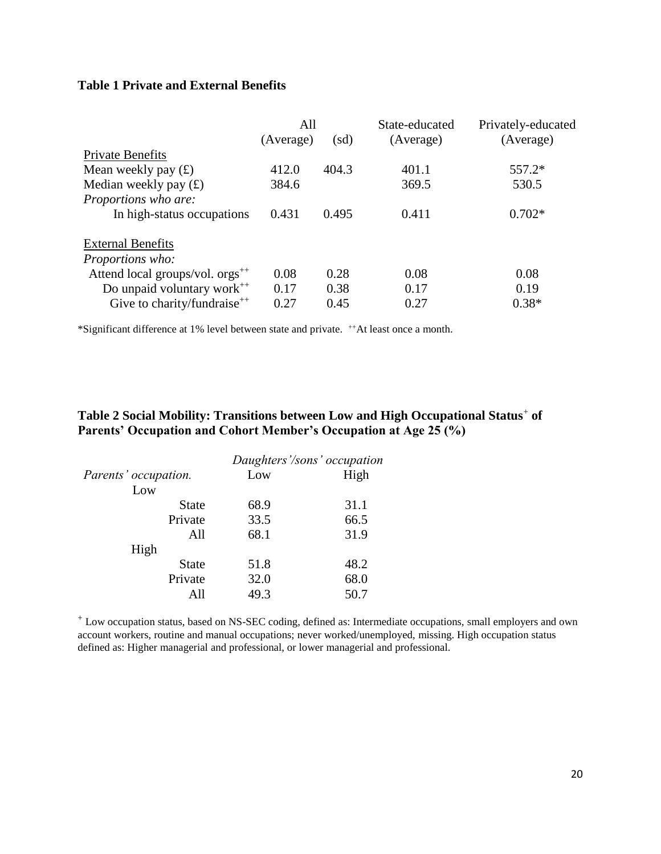# **Table 1 Private and External Benefits**

|                                             | All       |                          | State-educated | Privately-educated |
|---------------------------------------------|-----------|--------------------------|----------------|--------------------|
|                                             | (Average) | $\left(\text{sd}\right)$ | (Average)      | (Average)          |
| <b>Private Benefits</b>                     |           |                          |                |                    |
| Mean weekly pay $(f)$                       | 412.0     | 404.3                    | 401.1          | 557.2*             |
| Median weekly pay $(f)$                     | 384.6     |                          | 369.5          | 530.5              |
| Proportions who are:                        |           |                          |                |                    |
| In high-status occupations                  | 0.431     | 0.495                    | 0.411          | $0.702*$           |
| <b>External Benefits</b>                    |           |                          |                |                    |
| Proportions who:                            |           |                          |                |                    |
| Attend local groups/vol. orgs <sup>++</sup> | 0.08      | 0.28                     | 0.08           | 0.08               |
| Do unpaid voluntary work <sup>++</sup>      | 0.17      | 0.38                     | 0.17           | 0.19               |
| Give to charity/fundraise <sup>++</sup>     | 0.27      | 0.45                     | 0.27           | $0.38*$            |

\*Significant difference at 1% level between state and private. ++At least once a month.

# **Table 2 Social Mobility: Transitions between Low and High Occupational Status**<sup>+</sup> **of Parents' Occupation and Cohort Member's Occupation at Age 25 (%)**

|                      |      | Daughters'/sons' occupation |  |
|----------------------|------|-----------------------------|--|
| Parents' occupation. | Low  | High                        |  |
| Low                  |      |                             |  |
| State                | 68.9 | 31.1                        |  |
| Private              | 33.5 | 66.5                        |  |
| All                  | 68.1 | 31.9                        |  |
| High                 |      |                             |  |
| <b>State</b>         | 51.8 | 48.2                        |  |
| Private              | 32.0 | 68.0                        |  |
| All                  | 49.3 | 50.7                        |  |

<sup>+</sup> Low occupation status, based on NS-SEC coding, defined as: Intermediate occupations, small employers and own account workers, routine and manual occupations; never worked/unemployed, missing. High occupation status defined as: Higher managerial and professional, or lower managerial and professional.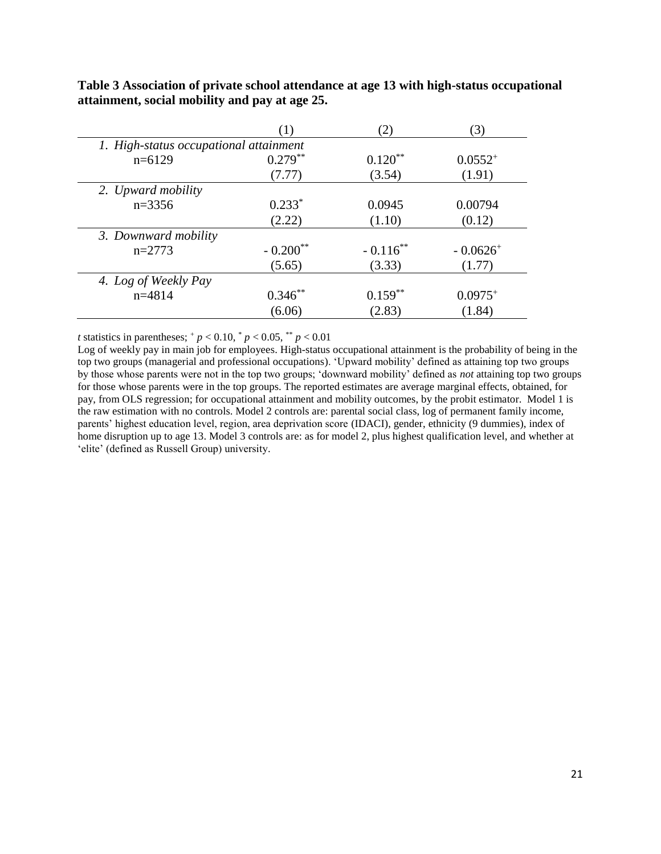|                                        |                        | ′2.                    | 3                      |  |  |
|----------------------------------------|------------------------|------------------------|------------------------|--|--|
| 1. High-status occupational attainment |                        |                        |                        |  |  |
| $n=6129$                               | $0.279***$             | $0.120**$              | $0.0552^{+}$           |  |  |
|                                        | (7.77)                 | (3.54)                 | (1.91)                 |  |  |
| 2. Upward mobility                     |                        |                        |                        |  |  |
| $n=3356$                               | $0.233*$               | 0.0945                 | 0.00794                |  |  |
|                                        | (2.22)                 | (1.10)                 | (0.12)                 |  |  |
| 3. Downward mobility                   |                        |                        |                        |  |  |
| $n=2773$                               | $-0.200$ <sup>**</sup> | $-0.116$ <sup>**</sup> | $-0.0626$ <sup>+</sup> |  |  |
|                                        | (5.65)                 | (3.33)                 | (1.77)                 |  |  |
| 4. Log of Weekly Pay                   |                        |                        |                        |  |  |
| $n=4814$                               | $0.346**$              | $0.159**$              | $0.0975^{+}$           |  |  |
|                                        | (6.06)                 | (2.83)                 | (1.84)                 |  |  |

**Table 3 Association of private school attendance at age 13 with high-status occupational attainment, social mobility and pay at age 25.**

*t* statistics in parentheses;  $^{+}p$  < 0.10,  $^{*}p$  < 0.05,  $^{**}p$  < 0.01

Log of weekly pay in main job for employees. High-status occupational attainment is the probability of being in the top two groups (managerial and professional occupations). 'Upward mobility' defined as attaining top two groups by those whose parents were not in the top two groups; 'downward mobility' defined as *not* attaining top two groups for those whose parents were in the top groups. The reported estimates are average marginal effects, obtained, for pay, from OLS regression; for occupational attainment and mobility outcomes, by the probit estimator. Model 1 is the raw estimation with no controls. Model 2 controls are: parental social class, log of permanent family income, parents' highest education level, region, area deprivation score (IDACI), gender, ethnicity (9 dummies), index of home disruption up to age 13. Model 3 controls are: as for model 2, plus highest qualification level, and whether at 'elite' (defined as Russell Group) university.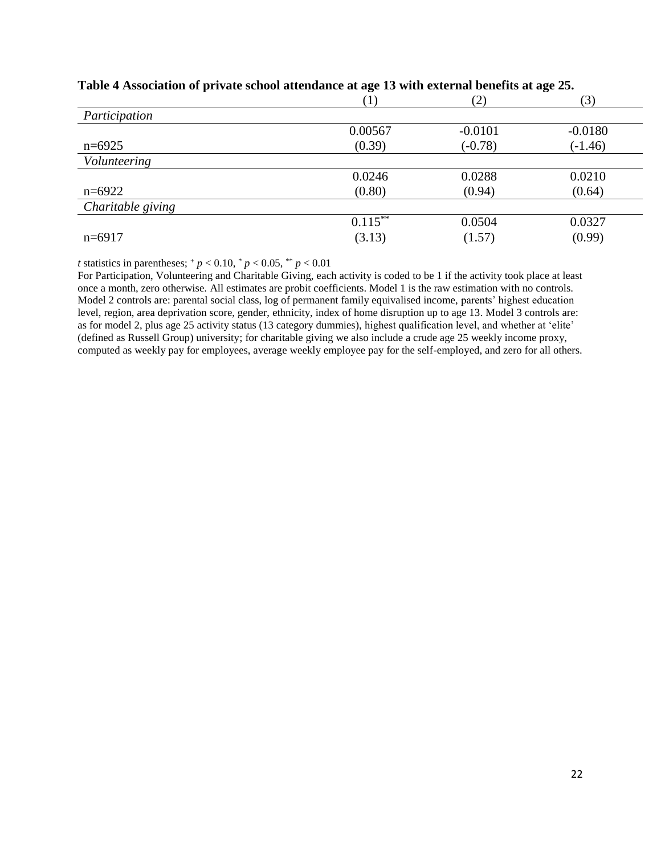|                   | (1)        | (2)       | (3)       |
|-------------------|------------|-----------|-----------|
| Participation     |            |           |           |
|                   | 0.00567    | $-0.0101$ | $-0.0180$ |
| $n=6925$          | (0.39)     | $(-0.78)$ | $(-1.46)$ |
| Volunteering      |            |           |           |
|                   | 0.0246     | 0.0288    | 0.0210    |
| $n=6922$          | (0.80)     | (0.94)    | (0.64)    |
| Charitable giving |            |           |           |
|                   | $0.115***$ | 0.0504    | 0.0327    |
| $n=6917$          | (3.13)     | (1.57)    | (0.99)    |

## **Table 4 Association of private school attendance at age 13 with external benefits at age 25.**

*t* statistics in parentheses;  $^{+}p$  < 0.10,  $^{*}p$  < 0.05,  $^{*}p$  < 0.01

For Participation, Volunteering and Charitable Giving, each activity is coded to be 1 if the activity took place at least once a month, zero otherwise. All estimates are probit coefficients. Model 1 is the raw estimation with no controls. Model 2 controls are: parental social class, log of permanent family equivalised income, parents' highest education level, region, area deprivation score, gender, ethnicity, index of home disruption up to age 13. Model 3 controls are: as for model 2, plus age 25 activity status (13 category dummies), highest qualification level, and whether at 'elite' (defined as Russell Group) university; for charitable giving we also include a crude age 25 weekly income proxy, computed as weekly pay for employees, average weekly employee pay for the self-employed, and zero for all others.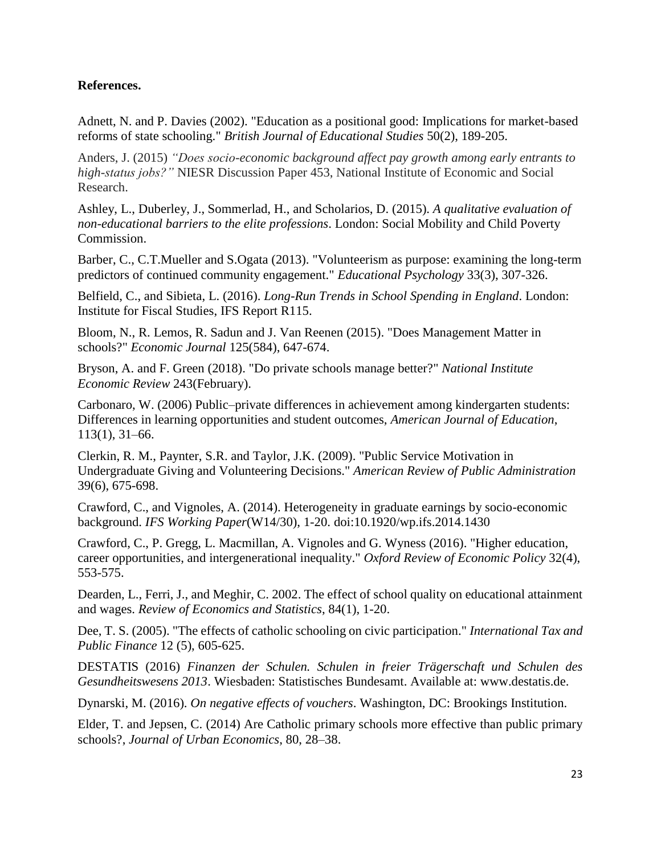# **References.**

Adnett, N. and P. Davies (2002). "Education as a positional good: Implications for market-based reforms of state schooling." *British Journal of Educational Studies* 50(2), 189-205.

Anders, J. (2015) *"Does socio-economic background affect pay growth among early entrants to high-status jobs?"* NIESR Discussion Paper 453, National Institute of Economic and Social Research.

Ashley, L., Duberley, J., Sommerlad, H., and Scholarios, D. (2015). *A qualitative evaluation of non-educational barriers to the elite professions*. London: Social Mobility and Child Poverty Commission.

Barber, C., C.T.Mueller and S.Ogata (2013). "Volunteerism as purpose: examining the long-term predictors of continued community engagement." *Educational Psychology* 33(3), 307-326.

Belfield, C., and Sibieta, L. (2016). *Long-Run Trends in School Spending in England*. London: Institute for Fiscal Studies, IFS Report R115.

Bloom, N., R. Lemos, R. Sadun and J. Van Reenen (2015). "Does Management Matter in schools?" *Economic Journal* 125(584), 647-674.

Bryson, A. and F. Green (2018). "Do private schools manage better?" *National Institute Economic Review* 243(February).

Carbonaro, W. (2006) Public–private differences in achievement among kindergarten students: Differences in learning opportunities and student outcomes, *American Journal of Education*, 113(1), 31–66.

Clerkin, R. M., Paynter, S.R. and Taylor, J.K. (2009). "Public Service Motivation in Undergraduate Giving and Volunteering Decisions." *American Review of Public Administration* 39(6), 675-698.

Crawford, C., and Vignoles, A. (2014). Heterogeneity in graduate earnings by socio-economic background. *IFS Working Paper*(W14/30), 1-20. doi:10.1920/wp.ifs.2014.1430

Crawford, C., P. Gregg, L. Macmillan, A. Vignoles and G. Wyness (2016). "Higher education, career opportunities, and intergenerational inequality." *Oxford Review of Economic Policy* 32(4), 553-575.

Dearden, L., Ferri, J., and Meghir, C. 2002. The effect of school quality on educational attainment and wages. *Review of Economics and Statistics*, 84(1), 1-20.

Dee, T. S. (2005). "The effects of catholic schooling on civic participation." *International Tax and Public Finance* 12 (5), 605-625.

DESTATIS (2016) *Finanzen der Schulen. Schulen in freier Trägerschaft und Schulen des Gesundheitswesens 2013*. Wiesbaden: Statistisches Bundesamt. Available at: www.destatis.de.

Dynarski, M. (2016). *On negative effects of vouchers*. Washington, DC: Brookings Institution.

Elder, T. and Jepsen, C. (2014) Are Catholic primary schools more effective than public primary schools?, *Journal of Urban Economics*, 80, 28–38.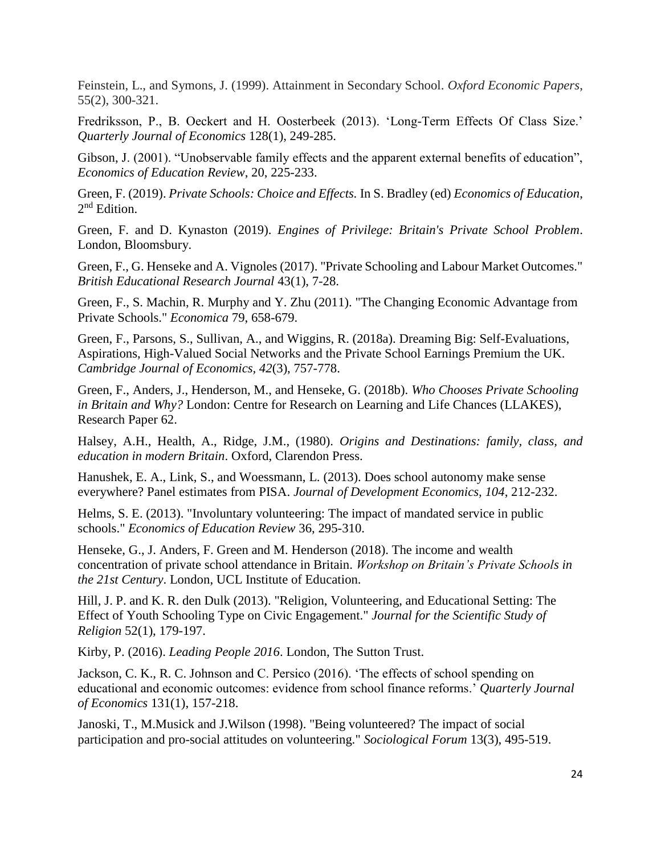Feinstein, L., and Symons, J. (1999). Attainment in Secondary School. *Oxford Economic Papers*, 55(2), 300-321.

Fredriksson, P., B. Oeckert and H. Oosterbeek (2013). 'Long-Term Effects Of Class Size.' *Quarterly Journal of Economics* 128(1), 249-285.

Gibson, J. (2001). "Unobservable family effects and the apparent external benefits of education", *Economics of Education Review*, 20, 225-233.

Green, F. (2019). *Private Schools: Choice and Effects.* In S. Bradley (ed) *Economics of Education*, 2<sup>nd</sup> Edition.

Green, F. and D. Kynaston (2019). *Engines of Privilege: Britain's Private School Problem*. London, Bloomsbury.

Green, F., G. Henseke and A. Vignoles (2017). "Private Schooling and Labour Market Outcomes." *British Educational Research Journal* 43(1), 7-28.

Green, F., S. Machin, R. Murphy and Y. Zhu (2011). "The Changing Economic Advantage from Private Schools." *Economica* 79, 658-679.

Green, F., Parsons, S., Sullivan, A., and Wiggins, R. (2018a). Dreaming Big: Self-Evaluations, Aspirations, High-Valued Social Networks and the Private School Earnings Premium the UK. *Cambridge Journal of Economics, 42*(3), 757-778.

Green, F., Anders, J., Henderson, M., and Henseke, G. (2018b). *Who Chooses Private Schooling in Britain and Why?* London: Centre for Research on Learning and Life Chances (LLAKES), Research Paper 62.

Halsey, A.H., Health, A., Ridge, J.M., (1980). *Origins and Destinations: family, class, and education in modern Britain*. Oxford, Clarendon Press.

Hanushek, E. A., Link, S., and Woessmann, L. (2013). Does school autonomy make sense everywhere? Panel estimates from PISA. *Journal of Development Economics, 104*, 212-232.

Helms, S. E. (2013). "Involuntary volunteering: The impact of mandated service in public schools." *Economics of Education Review* 36, 295-310.

Henseke, G., J. Anders, F. Green and M. Henderson (2018). The income and wealth concentration of private school attendance in Britain. *Workshop on Britain's Private Schools in the 21st Century*. London, UCL Institute of Education.

Hill, J. P. and K. R. den Dulk (2013). "Religion, Volunteering, and Educational Setting: The Effect of Youth Schooling Type on Civic Engagement." *Journal for the Scientific Study of Religion* 52(1), 179-197.

Kirby, P. (2016). *Leading People 2016*. London, The Sutton Trust.

Jackson, C. K., R. C. Johnson and C. Persico (2016). 'The effects of school spending on educational and economic outcomes: evidence from school finance reforms.' *Quarterly Journal of Economics* 131(1), 157-218.

Janoski, T., M.Musick and J.Wilson (1998). "Being volunteered? The impact of social participation and pro-social attitudes on volunteering." *Sociological Forum* 13(3), 495-519.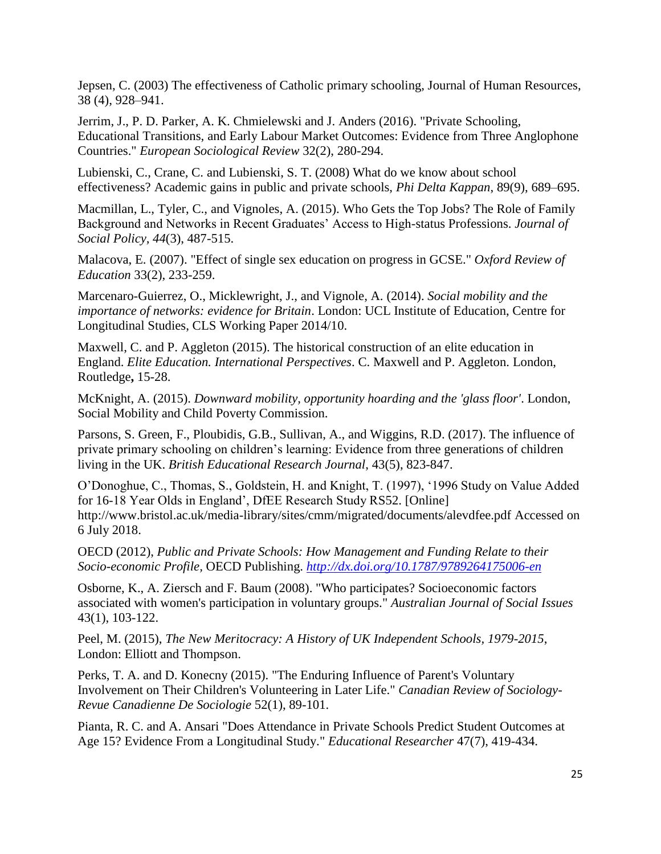Jepsen, C. (2003) The effectiveness of Catholic primary schooling, Journal of Human Resources, 38 (4), 928–941.

Jerrim, J., P. D. Parker, A. K. Chmielewski and J. Anders (2016). "Private Schooling, Educational Transitions, and Early Labour Market Outcomes: Evidence from Three Anglophone Countries." *European Sociological Review* 32(2), 280-294.

Lubienski, C., Crane, C. and Lubienski, S. T. (2008) What do we know about school effectiveness? Academic gains in public and private schools, *Phi Delta Kappan*, 89(9), 689–695.

Macmillan, L., Tyler, C., and Vignoles, A. (2015). Who Gets the Top Jobs? The Role of Family Background and Networks in Recent Graduates' Access to High-status Professions. *Journal of Social Policy, 44*(3), 487-515.

Malacova, E. (2007). "Effect of single sex education on progress in GCSE." *Oxford Review of Education* 33(2), 233-259.

Marcenaro-Guierrez, O., Micklewright, J., and Vignole, A. (2014). *Social mobility and the importance of networks: evidence for Britain*. London: UCL Institute of Education, Centre for Longitudinal Studies, CLS Working Paper 2014/10.

Maxwell, C. and P. Aggleton (2015). The historical construction of an elite education in England. *Elite Education. International Perspectives*. C. Maxwell and P. Aggleton. London, Routledge**,** 15-28.

McKnight, A. (2015). *Downward mobility, opportunity hoarding and the 'glass floor'*. London, Social Mobility and Child Poverty Commission.

Parsons, S. Green, F., Ploubidis, G.B., Sullivan, A., and Wiggins, R.D. (2017). The influence of private primary schooling on children's learning: Evidence from three generations of children living in the UK. *British Educational Research Journal*, 43(5), 823-847.

O'Donoghue, C., Thomas, S., Goldstein, H. and Knight, T. (1997), '1996 Study on Value Added for 16-18 Year Olds in England', DfEE Research Study RS52. [Online] <http://www.bristol.ac.uk/media-library/sites/cmm/migrated/documents/alevdfee.pdf> Accessed on 6 July 2018.

OECD (2012), *Public and Private Schools: How Management and Funding Relate to their Socio-economic Profile,* OECD Publishing. *<http://dx.doi.org/10.1787/9789264175006-en>*

Osborne, K., A. Ziersch and F. Baum (2008). "Who participates? Socioeconomic factors associated with women's participation in voluntary groups." *Australian Journal of Social Issues* 43(1), 103-122.

Peel, M. (2015), *The New Meritocracy: A History of UK Independent Schools, 1979-2015*, London: Elliott and Thompson.

Perks, T. A. and D. Konecny (2015). "The Enduring Influence of Parent's Voluntary Involvement on Their Children's Volunteering in Later Life." *Canadian Review of Sociology-Revue Canadienne De Sociologie* 52(1), 89-101.

Pianta, R. C. and A. Ansari "Does Attendance in Private Schools Predict Student Outcomes at Age 15? Evidence From a Longitudinal Study." *Educational Researcher* 47(7), 419-434.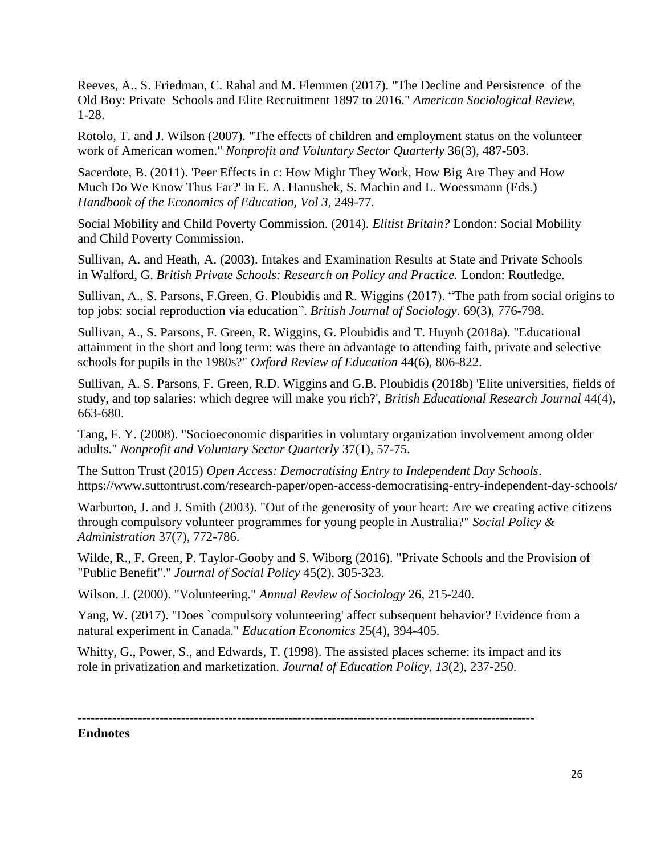Reeves, A., S. Friedman, C. Rahal and M. Flemmen (2017). "The Decline and Persistence of the Old Boy: Private Schools and Elite Recruitment 1897 to 2016." *American Sociological Review*, 1-28.

Rotolo, T. and J. Wilson (2007). "The effects of children and employment status on the volunteer work of American women." *Nonprofit and Voluntary Sector Quarterly* 36(3), 487-503.

Sacerdote, B. (2011). 'Peer Effects in c: How Might They Work, How Big Are They and How Much Do We Know Thus Far?' In E. A. Hanushek, S. Machin and L. Woessmann (Eds.) *Handbook of the Economics of Education, Vol 3,* 249-77.

Social Mobility and Child Poverty Commission. (2014). *Elitist Britain?* London: Social Mobility and Child Poverty Commission.

Sullivan, A. and Heath, A. (2003). Intakes and Examination Results at State and Private Schools in Walford, G. *British Private Schools: Research on Policy and Practice.* London: Routledge.

Sullivan, A., S. Parsons, F.Green, G. Ploubidis and R. Wiggins (2017). ["The path from social origins to](http://onlinelibrary.wiley.com.libproxy.ucl.ac.uk/doi/10.1111/1468-4446.12314/epdf)  [top jobs: social reproduction via education"](http://onlinelibrary.wiley.com.libproxy.ucl.ac.uk/doi/10.1111/1468-4446.12314/epdf). *British Journal of Sociology*. 69(3), 776-798.

Sullivan, A., S. Parsons, F. Green, R. Wiggins, G. Ploubidis and T. Huynh (2018a). "Educational attainment in the short and long term: was there an advantage to attending faith, private and selective schools for pupils in the 1980s?" *Oxford Review of Education* 44(6), 806-822.

Sullivan, A. S. Parsons, F. Green, R.D. Wiggins and G.B. Ploubidis (2018b) 'Elite universities, fields of study, and top salaries: which degree will make you rich?', *British Educational Research Journal* 44(4), 663-680.

Tang, F. Y. (2008). "Socioeconomic disparities in voluntary organization involvement among older adults." *Nonprofit and Voluntary Sector Quarterly* 37(1), 57-75.

The Sutton Trust (2015) *Open Access: Democratising Entry to Independent Day Schools*. <https://www.suttontrust.com/research-paper/open-access-democratising-entry-independent-day-schools/>

Warburton, J. and J. Smith (2003). "Out of the generosity of your heart: Are we creating active citizens through compulsory volunteer programmes for young people in Australia?" *Social Policy & Administration* 37(7), 772-786.

Wilde, R., F. Green, P. Taylor-Gooby and S. Wiborg (2016). "Private Schools and the Provision of "Public Benefit"." *Journal of Social Policy* 45(2), 305-323.

Wilson, J. (2000). "Volunteering." *Annual Review of Sociology* 26, 215-240.

Yang, W. (2017). "Does `compulsory volunteering' affect subsequent behavior? Evidence from a natural experiment in Canada." *Education Economics* 25(4), 394-405.

Whitty, G., Power, S., and Edwards, T. (1998). The assisted places scheme: its impact and its role in privatization and marketization. *Journal of Education Policy, 13*(2), 237-250.

----------------------------------------------------------------------------------------------------------

## **Endnotes**